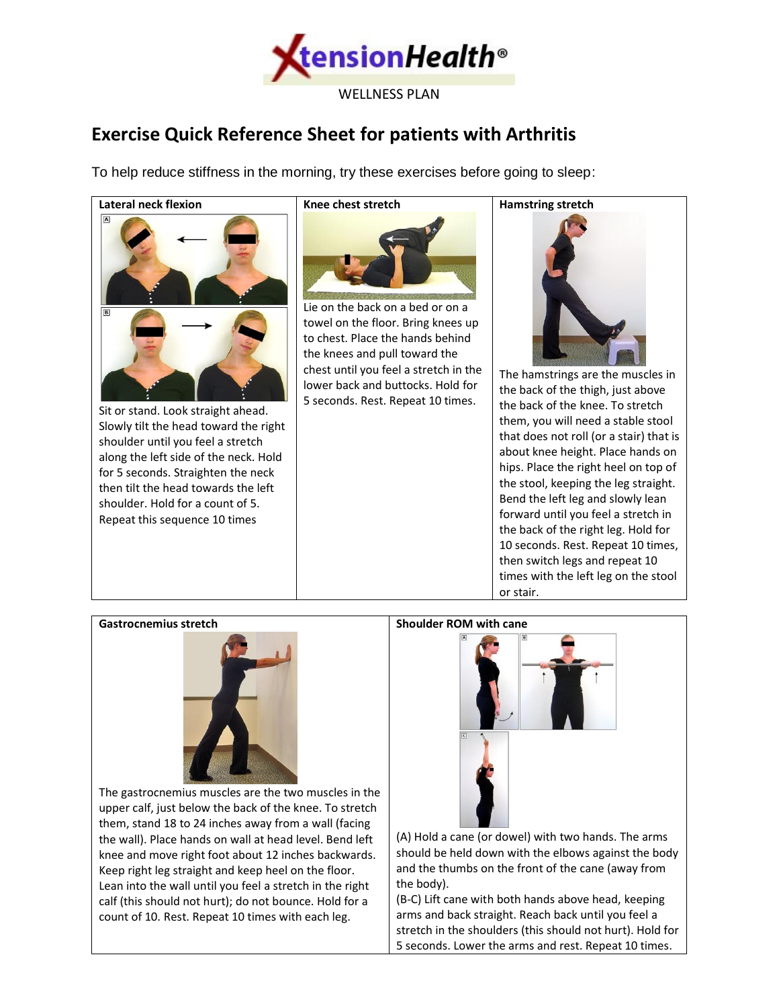

## **Exercise Quick Reference Sheet for patients with Arthritis**

To help reduce stiffness in the morning, try these exercises before going to sleep:

## **Lateral neck flexion**



towel on the floor. Bring knees up to chest. Place the hands behind the knees and pull toward the chest until you feel a stretch in the lower back and buttocks. Hold for 5 seconds. Rest. Repeat 10 times.

**Hamstring stretch**

The hamstrings are the muscles in the back of the thigh, just above the back of the knee. To stretch them, you will need a stable stool that does not roll (or a stair) that is about knee height. Place hands on hips. Place the right heel on top of the stool, keeping the leg straight. Bend the left leg and slowly lean forward until you feel a stretch in the back of the right leg. Hold for 10 seconds. Rest. Repeat 10 times, then switch legs and repeat 10 times with the left leg on the stool or stair.

## **Gastrocnemius stretch**

Sit or stand. Look straight ahead. Slowly tilt the head toward the right shoulder until you feel a stretch along the left side of the neck. Hold for 5 seconds. Straighten the neck then tilt the head towards the left shoulder. Hold for a count of 5. Repeat this sequence 10 times



The gastrocnemius muscles are the two muscles in the upper calf, just below the back of the knee. To stretch them, stand 18 to 24 inches away from a wall (facing the wall). Place hands on wall at head level. Bend left knee and move right foot about 12 inches backwards. Keep right leg straight and keep heel on the floor. Lean into the wall until you feel a stretch in the right calf (this should not hurt); do not bounce. Hold for a count of 10. Rest. Repeat 10 times with each leg.

## **Shoulder ROM with cane**



(A) Hold a cane (or dowel) with two hands. The arms should be held down with the elbows against the body and the thumbs on the front of the cane (away from the body).

(B-C) Lift cane with both hands above head, keeping arms and back straight. Reach back until you feel a stretch in the shoulders (this should not hurt). Hold for 5 seconds. Lower the arms and rest. Repeat 10 times.